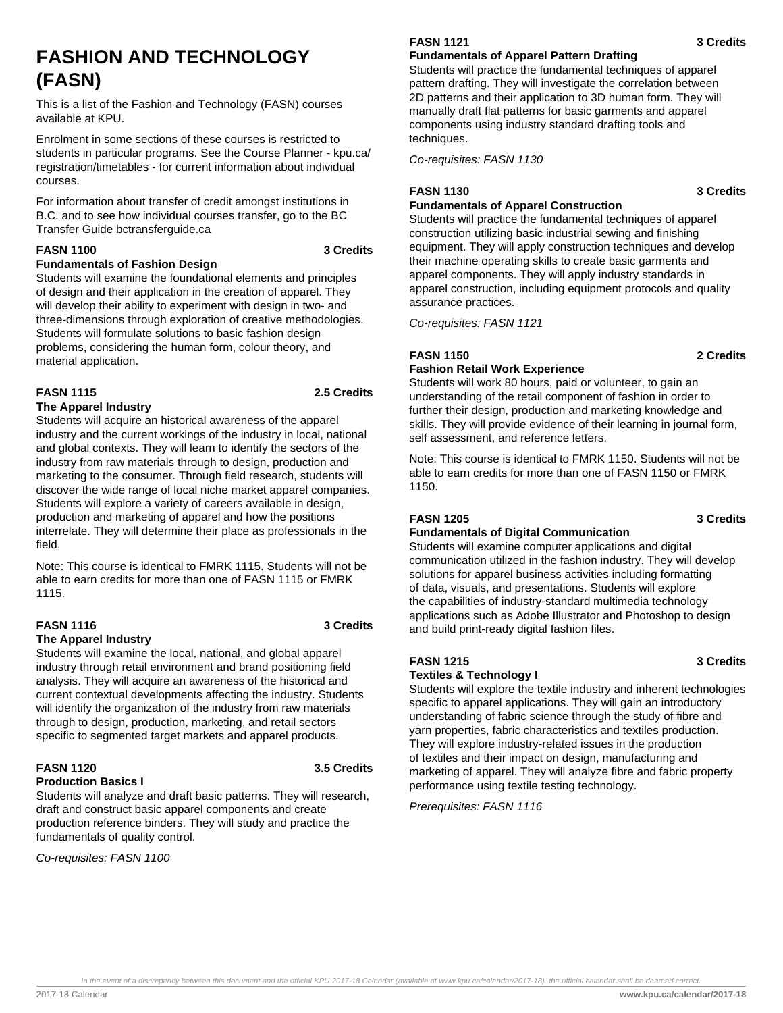# **FASHION AND TECHNOLOGY (FASN)**

This is a list of the Fashion and Technology (FASN) courses available at KPU.

Enrolment in some sections of these courses is restricted to students in particular programs. See the Course Planner - kpu.ca/ registration/timetables - for current information about individual courses.

For information about transfer of credit amongst institutions in B.C. and to see how individual courses transfer, go to the BC Transfer Guide bctransferguide.ca

## **FASN 1100 3 Credits**

#### **Fundamentals of Fashion Design**

Students will examine the foundational elements and principles of design and their application in the creation of apparel. They will develop their ability to experiment with design in two- and three-dimensions through exploration of creative methodologies. Students will formulate solutions to basic fashion design problems, considering the human form, colour theory, and material application.

## **FASN 1115 2.5 Credits**

### **The Apparel Industry**

Students will acquire an historical awareness of the apparel industry and the current workings of the industry in local, national and global contexts. They will learn to identify the sectors of the industry from raw materials through to design, production and marketing to the consumer. Through field research, students will discover the wide range of local niche market apparel companies. Students will explore a variety of careers available in design, production and marketing of apparel and how the positions interrelate. They will determine their place as professionals in the field.

Note: This course is identical to FMRK 1115. Students will not be able to earn credits for more than one of FASN 1115 or FMRK 1115.

## **FASN 1116 3 Credits**

#### **The Apparel Industry**

Students will examine the local, national, and global apparel industry through retail environment and brand positioning field analysis. They will acquire an awareness of the historical and current contextual developments affecting the industry. Students will identify the organization of the industry from raw materials through to design, production, marketing, and retail sectors specific to segmented target markets and apparel products.

#### **FASN 1120 3.5 Credits Production Basics I**

Students will analyze and draft basic patterns. They will research, draft and construct basic apparel components and create production reference binders. They will study and practice the fundamentals of quality control.

Co-requisites: FASN 1100

# **FASN 1121 3 Credits**

## **Fundamentals of Apparel Pattern Drafting**

Students will practice the fundamental techniques of apparel pattern drafting. They will investigate the correlation between 2D patterns and their application to 3D human form. They will manually draft flat patterns for basic garments and apparel components using industry standard drafting tools and techniques.

Co-requisites: FASN 1130

## **FASN 1130 3 Credits**

## **Fundamentals of Apparel Construction**

Students will practice the fundamental techniques of apparel construction utilizing basic industrial sewing and finishing equipment. They will apply construction techniques and develop their machine operating skills to create basic garments and apparel components. They will apply industry standards in apparel construction, including equipment protocols and quality assurance practices.

Co-requisites: FASN 1121

## **FASN 1150 2 Credits**

## **Fashion Retail Work Experience**

Students will work 80 hours, paid or volunteer, to gain an understanding of the retail component of fashion in order to further their design, production and marketing knowledge and skills. They will provide evidence of their learning in journal form, self assessment, and reference letters.

Note: This course is identical to FMRK 1150. Students will not be able to earn credits for more than one of FASN 1150 or FMRK 1150.

## **FASN 1205 3 Credits**

## **Fundamentals of Digital Communication**

Students will examine computer applications and digital communication utilized in the fashion industry. They will develop solutions for apparel business activities including formatting of data, visuals, and presentations. Students will explore the capabilities of industry-standard multimedia technology applications such as Adobe Illustrator and Photoshop to design and build print-ready digital fashion files.

## **FASN 1215 3 Credits**

### **Textiles & Technology I**

Students will explore the textile industry and inherent technologies specific to apparel applications. They will gain an introductory understanding of fabric science through the study of fibre and yarn properties, fabric characteristics and textiles production. They will explore industry-related issues in the production of textiles and their impact on design, manufacturing and marketing of apparel. They will analyze fibre and fabric property performance using textile testing technology.

Prerequisites: FASN 1116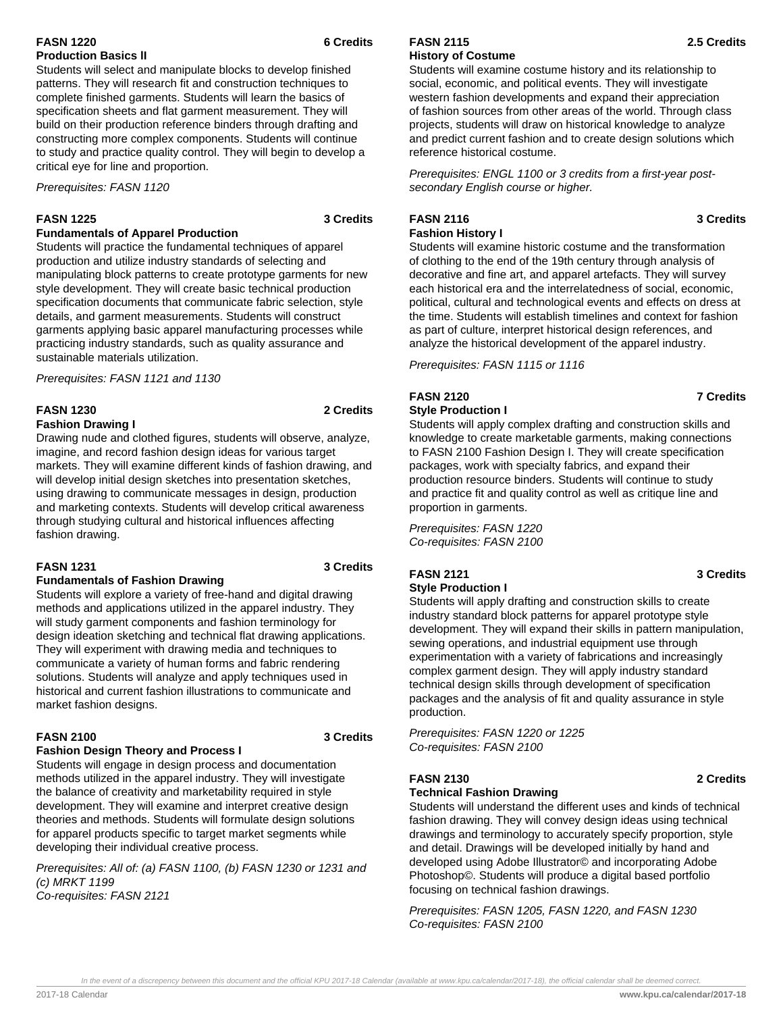## **FASN 1220 6 Credits Production Basics lI**

Students will select and manipulate blocks to develop finished patterns. They will research fit and construction techniques to complete finished garments. Students will learn the basics of specification sheets and flat garment measurement. They will build on their production reference binders through drafting and constructing more complex components. Students will continue to study and practice quality control. They will begin to develop a critical eye for line and proportion.

Prerequisites: FASN 1120

### **FASN 1225 3 Credits**

## **Fundamentals of Apparel Production**

Students will practice the fundamental techniques of apparel production and utilize industry standards of selecting and manipulating block patterns to create prototype garments for new style development. They will create basic technical production specification documents that communicate fabric selection, style details, and garment measurements. Students will construct garments applying basic apparel manufacturing processes while practicing industry standards, such as quality assurance and sustainable materials utilization.

Prerequisites: FASN 1121 and 1130

## **FASN 1230 2 Credits**

#### **Fashion Drawing I**

Drawing nude and clothed figures, students will observe, analyze, imagine, and record fashion design ideas for various target markets. They will examine different kinds of fashion drawing, and will develop initial design sketches into presentation sketches, using drawing to communicate messages in design, production and marketing contexts. Students will develop critical awareness through studying cultural and historical influences affecting fashion drawing.

## **FASN 1231 3 Credits**

## **Fundamentals of Fashion Drawing**

Students will explore a variety of free-hand and digital drawing methods and applications utilized in the apparel industry. They will study garment components and fashion terminology for design ideation sketching and technical flat drawing applications. They will experiment with drawing media and techniques to communicate a variety of human forms and fabric rendering solutions. Students will analyze and apply techniques used in historical and current fashion illustrations to communicate and market fashion designs.

## **FASN 2100 3 Credits**

## **Fashion Design Theory and Process I**

Students will engage in design process and documentation methods utilized in the apparel industry. They will investigate the balance of creativity and marketability required in style development. They will examine and interpret creative design theories and methods. Students will formulate design solutions for apparel products specific to target market segments while developing their individual creative process.

Prerequisites: All of: (a) FASN 1100, (b) FASN 1230 or 1231 and (c) MRKT 1199 Co-requisites: FASN 2121

#### **FASN 2115 2.5 Credits History of Costume**

Students will examine costume history and its relationship to social, economic, and political events. They will investigate western fashion developments and expand their appreciation of fashion sources from other areas of the world. Through class projects, students will draw on historical knowledge to analyze and predict current fashion and to create design solutions which reference historical costume.

Prerequisites: ENGL 1100 or 3 credits from a first-year postsecondary English course or higher.

#### **FASN 2116 3 Credits Fashion History I**

Students will examine historic costume and the transformation of clothing to the end of the 19th century through analysis of decorative and fine art, and apparel artefacts. They will survey each historical era and the interrelatedness of social, economic, political, cultural and technological events and effects on dress at the time. Students will establish timelines and context for fashion as part of culture, interpret historical design references, and analyze the historical development of the apparel industry.

Prerequisites: FASN 1115 or 1116

# **FASN 2120 7 Credits**

**Style Production I**

Students will apply complex drafting and construction skills and

knowledge to create marketable garments, making connections to FASN 2100 Fashion Design I. They will create specification packages, work with specialty fabrics, and expand their production resource binders. Students will continue to study and practice fit and quality control as well as critique line and proportion in garments.

Prerequisites: FASN 1220 Co-requisites: FASN 2100

#### **FASN 2121 3 Credits Style Production I**

Students will apply drafting and construction skills to create industry standard block patterns for apparel prototype style development. They will expand their skills in pattern manipulation, sewing operations, and industrial equipment use through experimentation with a variety of fabrications and increasingly complex garment design. They will apply industry standard technical design skills through development of specification packages and the analysis of fit and quality assurance in style production.

Prerequisites: FASN 1220 or 1225 Co-requisites: FASN 2100

## **FASN 2130 2 Credits**

### **Technical Fashion Drawing**

Students will understand the different uses and kinds of technical fashion drawing. They will convey design ideas using technical drawings and terminology to accurately specify proportion, style and detail. Drawings will be developed initially by hand and developed using Adobe Illustrator© and incorporating Adobe Photoshop©. Students will produce a digital based portfolio focusing on technical fashion drawings.

Prerequisites: FASN 1205, FASN 1220, and FASN 1230 Co-requisites: FASN 2100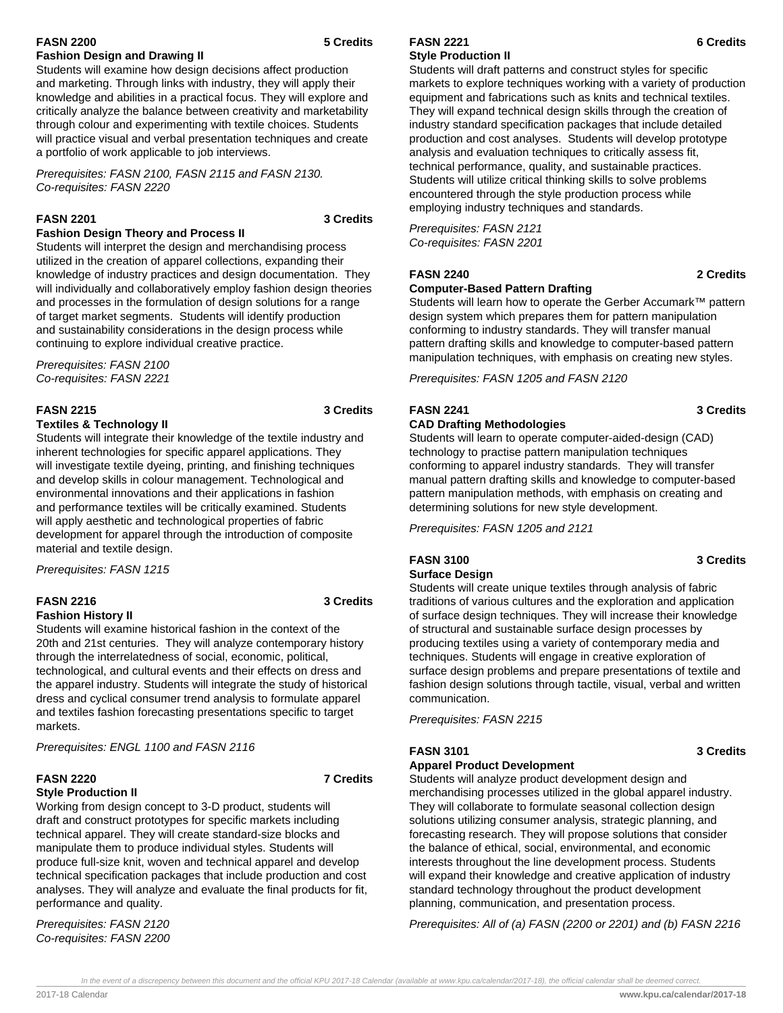## **FASN 2200 5 Credits Fashion Design and Drawing II**

Students will examine how design decisions affect production and marketing. Through links with industry, they will apply their knowledge and abilities in a practical focus. They will explore and critically analyze the balance between creativity and marketability through colour and experimenting with textile choices. Students will practice visual and verbal presentation techniques and create a portfolio of work applicable to job interviews.

Prerequisites: FASN 2100, FASN 2115 and FASN 2130. Co-requisites: FASN 2220

## **FASN 2201 3 Credits**

## **Fashion Design Theory and Process II**

Students will interpret the design and merchandising process utilized in the creation of apparel collections, expanding their knowledge of industry practices and design documentation. They will individually and collaboratively employ fashion design theories and processes in the formulation of design solutions for a range of target market segments. Students will identify production and sustainability considerations in the design process while continuing to explore individual creative practice.

Prerequisites: FASN 2100 Co-requisites: FASN 2221

#### **FASN 2215 3 Credits**

#### **Textiles & Technology II**

Students will integrate their knowledge of the textile industry and inherent technologies for specific apparel applications. They will investigate textile dyeing, printing, and finishing techniques and develop skills in colour management. Technological and environmental innovations and their applications in fashion and performance textiles will be critically examined. Students will apply aesthetic and technological properties of fabric development for apparel through the introduction of composite material and textile design.

Prerequisites: FASN 1215

## **FASN 2216 3 Credits**

### **Fashion History II**

Students will examine historical fashion in the context of the 20th and 21st centuries. They will analyze contemporary history through the interrelatedness of social, economic, political, technological, and cultural events and their effects on dress and the apparel industry. Students will integrate the study of historical dress and cyclical consumer trend analysis to formulate apparel and textiles fashion forecasting presentations specific to target markets.

Prerequisites: ENGL 1100 and FASN 2116

#### **FASN 2220 7 Credits Style Production II**

Working from design concept to 3-D product, students will draft and construct prototypes for specific markets including technical apparel. They will create standard-size blocks and manipulate them to produce individual styles. Students will produce full-size knit, woven and technical apparel and develop technical specification packages that include production and cost analyses. They will analyze and evaluate the final products for fit, performance and quality.

Prerequisites: FASN 2120 Co-requisites: FASN 2200

#### **FASN 2221 6 Credits Style Production II**

Students will draft patterns and construct styles for specific markets to explore techniques working with a variety of production equipment and fabrications such as knits and technical textiles. They will expand technical design skills through the creation of industry standard specification packages that include detailed production and cost analyses. Students will develop prototype analysis and evaluation techniques to critically assess fit, technical performance, quality, and sustainable practices. Students will utilize critical thinking skills to solve problems encountered through the style production process while employing industry techniques and standards.

Prerequisites: FASN 2121 Co-requisites: FASN 2201

## **FASN 2240 2 Credits**

## **Computer-Based Pattern Drafting**

Students will learn how to operate the Gerber Accumark™ pattern design system which prepares them for pattern manipulation conforming to industry standards. They will transfer manual pattern drafting skills and knowledge to computer-based pattern manipulation techniques, with emphasis on creating new styles.

Prerequisites: FASN 1205 and FASN 2120

## **FASN 2241 3 Credits**

## **CAD Drafting Methodologies**

Students will learn to operate computer-aided-design (CAD) technology to practise pattern manipulation techniques conforming to apparel industry standards. They will transfer manual pattern drafting skills and knowledge to computer-based pattern manipulation methods, with emphasis on creating and determining solutions for new style development.

Prerequisites: FASN 1205 and 2121

## **FASN 3100 3 Credits**

## **Surface Design**

Students will create unique textiles through analysis of fabric traditions of various cultures and the exploration and application of surface design techniques. They will increase their knowledge of structural and sustainable surface design processes by producing textiles using a variety of contemporary media and techniques. Students will engage in creative exploration of surface design problems and prepare presentations of textile and fashion design solutions through tactile, visual, verbal and written communication.

Prerequisites: FASN 2215

## **FASN 3101 3 Credits**

## **Apparel Product Development**

Students will analyze product development design and merchandising processes utilized in the global apparel industry. They will collaborate to formulate seasonal collection design solutions utilizing consumer analysis, strategic planning, and forecasting research. They will propose solutions that consider the balance of ethical, social, environmental, and economic interests throughout the line development process. Students will expand their knowledge and creative application of industry standard technology throughout the product development planning, communication, and presentation process.

Prerequisites: All of (a) FASN (2200 or 2201) and (b) FASN 2216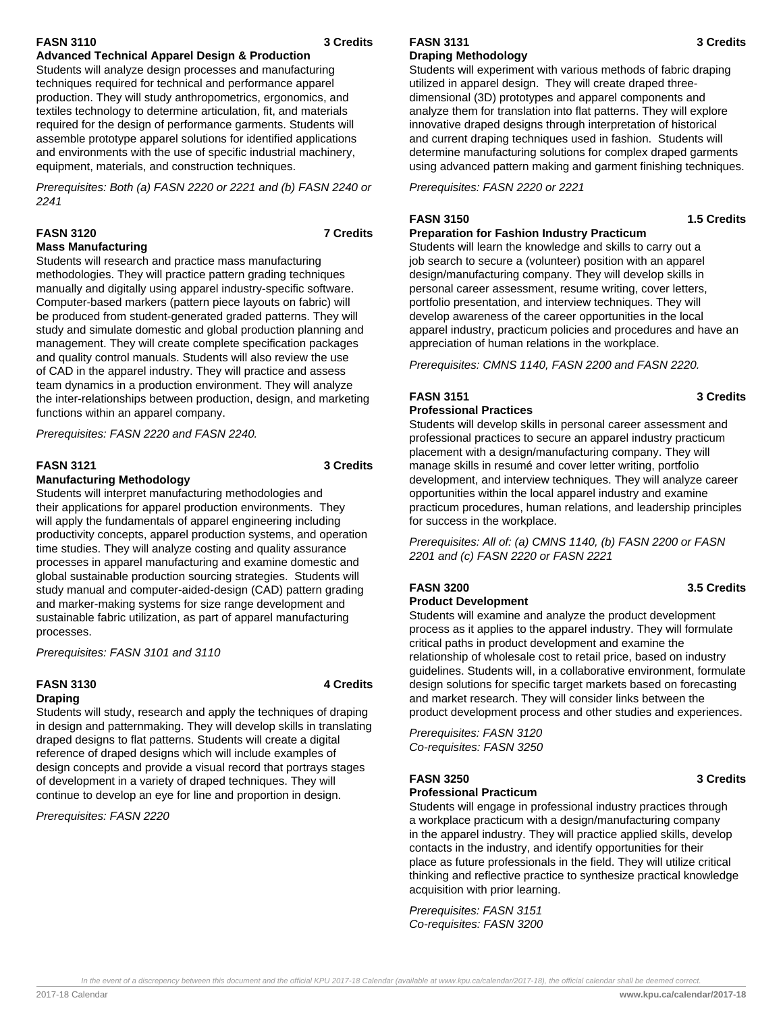## **FASN 3110 3 Credits**

## **Advanced Technical Apparel Design & Production**

Students will analyze design processes and manufacturing techniques required for technical and performance apparel production. They will study anthropometrics, ergonomics, and textiles technology to determine articulation, fit, and materials required for the design of performance garments. Students will assemble prototype apparel solutions for identified applications and environments with the use of specific industrial machinery, equipment, materials, and construction techniques.

Prerequisites: Both (a) FASN 2220 or 2221 and (b) FASN 2240 or 2241

## **FASN 3120 7 Credits**

## **Mass Manufacturing**

Students will research and practice mass manufacturing methodologies. They will practice pattern grading techniques manually and digitally using apparel industry-specific software. Computer-based markers (pattern piece layouts on fabric) will be produced from student-generated graded patterns. They will study and simulate domestic and global production planning and management. They will create complete specification packages and quality control manuals. Students will also review the use of CAD in the apparel industry. They will practice and assess team dynamics in a production environment. They will analyze the inter-relationships between production, design, and marketing functions within an apparel company.

Prerequisites: FASN 2220 and FASN 2240.

## **FASN 3121 3 Credits**

### **Manufacturing Methodology**

Students will interpret manufacturing methodologies and their applications for apparel production environments. They will apply the fundamentals of apparel engineering including productivity concepts, apparel production systems, and operation time studies. They will analyze costing and quality assurance processes in apparel manufacturing and examine domestic and global sustainable production sourcing strategies. Students will study manual and computer-aided-design (CAD) pattern grading and marker-making systems for size range development and sustainable fabric utilization, as part of apparel manufacturing processes.

Prerequisites: FASN 3101 and 3110

## **FASN 3130 4 Credits Draping**

Students will study, research and apply the techniques of draping in design and patternmaking. They will develop skills in translating draped designs to flat patterns. Students will create a digital reference of draped designs which will include examples of design concepts and provide a visual record that portrays stages of development in a variety of draped techniques. They will continue to develop an eye for line and proportion in design.

Prerequisites: FASN 2220

#### **FASN 3131 3 Credits Draping Methodology**

Students will experiment with various methods of fabric draping utilized in apparel design. They will create draped threedimensional (3D) prototypes and apparel components and analyze them for translation into flat patterns. They will explore innovative draped designs through interpretation of historical and current draping techniques used in fashion. Students will determine manufacturing solutions for complex draped garments using advanced pattern making and garment finishing techniques.

Prerequisites: FASN 2220 or 2221

## **FASN 3150 1.5 Credits**

## **Preparation for Fashion Industry Practicum**

Students will learn the knowledge and skills to carry out a job search to secure a (volunteer) position with an apparel design/manufacturing company. They will develop skills in personal career assessment, resume writing, cover letters, portfolio presentation, and interview techniques. They will develop awareness of the career opportunities in the local apparel industry, practicum policies and procedures and have an appreciation of human relations in the workplace.

Prerequisites: CMNS 1140, FASN 2200 and FASN 2220.

#### **FASN 3151 3 Credits Professional Practices**

Students will develop skills in personal career assessment and professional practices to secure an apparel industry practicum placement with a design/manufacturing company. They will manage skills in resumé and cover letter writing, portfolio development, and interview techniques. They will analyze career opportunities within the local apparel industry and examine practicum procedures, human relations, and leadership principles for success in the workplace.

Prerequisites: All of: (a) CMNS 1140, (b) FASN 2200 or FASN 2201 and (c) FASN 2220 or FASN 2221

#### **FASN 3200 3.5 Credits Product Development**

Students will examine and analyze the product development process as it applies to the apparel industry. They will formulate critical paths in product development and examine the relationship of wholesale cost to retail price, based on industry guidelines. Students will, in a collaborative environment, formulate design solutions for specific target markets based on forecasting and market research. They will consider links between the

product development process and other studies and experiences.

Prerequisites: FASN 3120 Co-requisites: FASN 3250

## **FASN 3250 3 Credits**

## **Professional Practicum**

Students will engage in professional industry practices through a workplace practicum with a design/manufacturing company in the apparel industry. They will practice applied skills, develop contacts in the industry, and identify opportunities for their place as future professionals in the field. They will utilize critical thinking and reflective practice to synthesize practical knowledge acquisition with prior learning.

Prerequisites: FASN 3151 Co-requisites: FASN 3200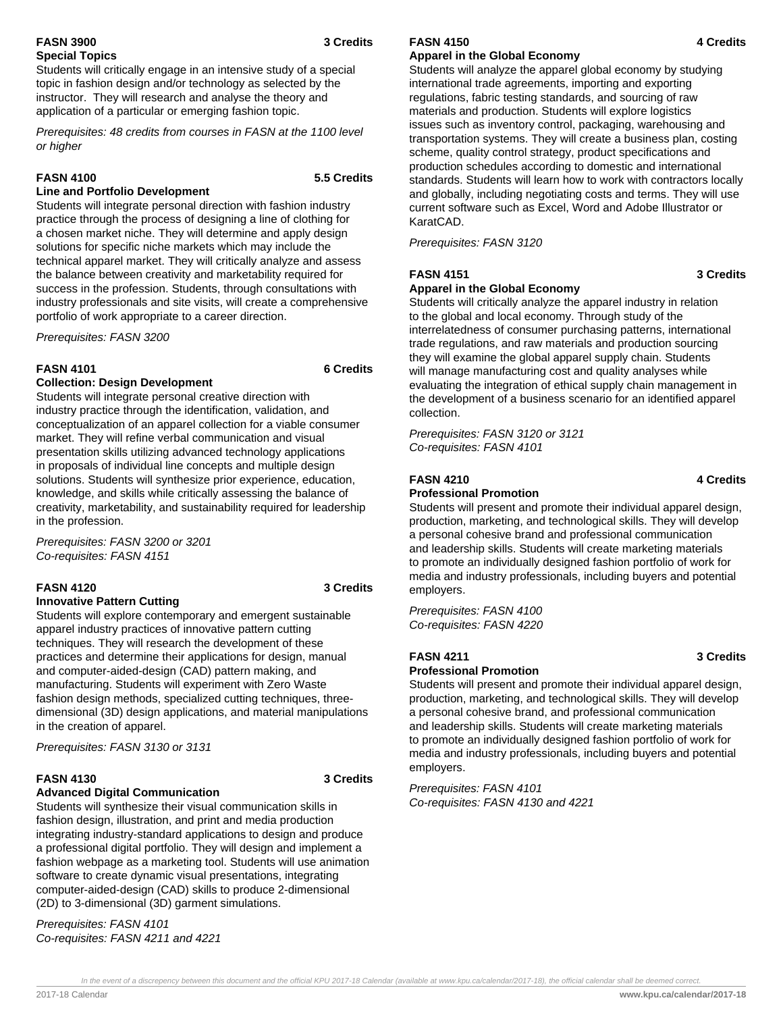## **FASN 3900 3 Credits Special Topics**

Students will critically engage in an intensive study of a special topic in fashion design and/or technology as selected by the instructor. They will research and analyse the theory and application of a particular or emerging fashion topic.

Prerequisites: 48 credits from courses in FASN at the 1100 level or higher

### **FASN 4100 5.5 Credits**

### **Line and Portfolio Development**

Students will integrate personal direction with fashion industry practice through the process of designing a line of clothing for a chosen market niche. They will determine and apply design solutions for specific niche markets which may include the technical apparel market. They will critically analyze and assess the balance between creativity and marketability required for success in the profession. Students, through consultations with industry professionals and site visits, will create a comprehensive portfolio of work appropriate to a career direction.

Prerequisites: FASN 3200

### **FASN 4101 6 Credits**

### **Collection: Design Development**

Students will integrate personal creative direction with industry practice through the identification, validation, and conceptualization of an apparel collection for a viable consumer market. They will refine verbal communication and visual presentation skills utilizing advanced technology applications in proposals of individual line concepts and multiple design solutions. Students will synthesize prior experience, education, knowledge, and skills while critically assessing the balance of creativity, marketability, and sustainability required for leadership in the profession.

Prerequisites: FASN 3200 or 3201 Co-requisites: FASN 4151

#### **FASN 4120 3 Credits Innovative Pattern Cutting**

Students will explore contemporary and emergent sustainable apparel industry practices of innovative pattern cutting techniques. They will research the development of these practices and determine their applications for design, manual and computer-aided-design (CAD) pattern making, and manufacturing. Students will experiment with Zero Waste fashion design methods, specialized cutting techniques, threedimensional (3D) design applications, and material manipulations in the creation of apparel.

Prerequisites: FASN 3130 or 3131

### **FASN 4130 3 Credits**

### **Advanced Digital Communication**

Students will synthesize their visual communication skills in fashion design, illustration, and print and media production integrating industry-standard applications to design and produce a professional digital portfolio. They will design and implement a fashion webpage as a marketing tool. Students will use animation software to create dynamic visual presentations, integrating computer-aided-design (CAD) skills to produce 2-dimensional (2D) to 3-dimensional (3D) garment simulations.

Prerequisites: FASN 4101 Co-requisites: FASN 4211 and 4221

## **Apparel in the Global Economy**

Students will analyze the apparel global economy by studying international trade agreements, importing and exporting regulations, fabric testing standards, and sourcing of raw materials and production. Students will explore logistics issues such as inventory control, packaging, warehousing and transportation systems. They will create a business plan, costing scheme, quality control strategy, product specifications and production schedules according to domestic and international standards. Students will learn how to work with contractors locally and globally, including negotiating costs and terms. They will use current software such as Excel, Word and Adobe Illustrator or KaratCAD.

Prerequisites: FASN 3120

## **FASN 4151 3 Credits**

## **Apparel in the Global Economy**

Students will critically analyze the apparel industry in relation to the global and local economy. Through study of the interrelatedness of consumer purchasing patterns, international trade regulations, and raw materials and production sourcing they will examine the global apparel supply chain. Students will manage manufacturing cost and quality analyses while evaluating the integration of ethical supply chain management in the development of a business scenario for an identified apparel collection.

Prerequisites: FASN 3120 or 3121 Co-requisites: FASN 4101

## **FASN 4210 4 Credits**

### **Professional Promotion**

Students will present and promote their individual apparel design, production, marketing, and technological skills. They will develop a personal cohesive brand and professional communication and leadership skills. Students will create marketing materials to promote an individually designed fashion portfolio of work for media and industry professionals, including buyers and potential employers.

Prerequisites: FASN 4100 Co-requisites: FASN 4220

## **FASN 4211 3 Credits**

### **Professional Promotion**

Students will present and promote their individual apparel design, production, marketing, and technological skills. They will develop a personal cohesive brand, and professional communication and leadership skills. Students will create marketing materials to promote an individually designed fashion portfolio of work for media and industry professionals, including buyers and potential employers.

Prerequisites: FASN 4101 Co-requisites: FASN 4130 and 4221